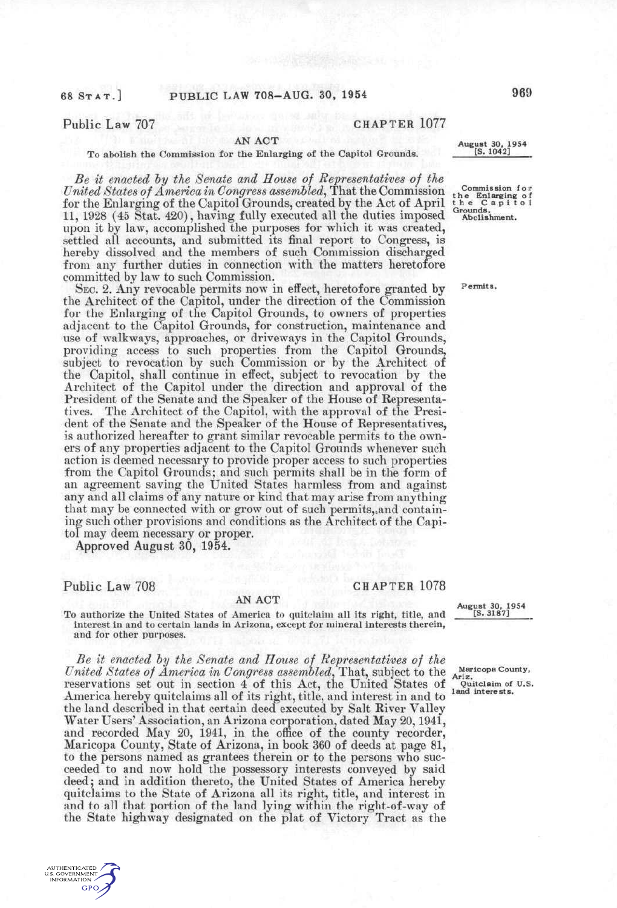# Public Law 707 CHAPTER 1077

## AN **ACT**

### To abolish the Commission for the Enlarging of the Capitol Grounds.

*Be it enacted hy the Senate and House of Representatives of the United States of America in Congress assembled*, That the Commission for the Enlarging of the Capitol Grounds, created by the Act of April 11, 1928 (45 Stat. 420), having fully executed all the duties imposed upon it by law, accomplished the purposes for which it was created, settled all accounts, and submitted its final report to Congress, is hereby dissolved and the members of such Commission discharged from any further duties in connection with the matters heretofore committed by law to such Commission.

SEC. 2. Any revocable permits now in effect, heretofore granted by the Architect of the Capitol, under the direction of the Commission for the Enlarging of the Capitol Grounds, to owners of properties adjacent to the Capitol Grounds, for construction, maintenance and use of walkways, approaches, or driveways in the Capitol Grounds, providing access to such properties from the Capitol Grounds, subject to revocation by such Commission or by the Architect of the Capitol, shall continue in effect, subject to revocation by the Architect of the Capitol under the direction and approval of the President of the Senate and the Speaker of the House of Representatives. The Architect of the Capitol, with the approval of the President of the Senate and the Speaker of the House of Representatives, is authorized hereafter to grant similar revocable permits to the owners of any properties adjacent to the Capitol Grounds whenever such action is deemed necessary to provide proper access to such properties from the Capitol Grounds; and such permits shall be in the form of an agreement saving the United States harmless from and against any and all claims of any nature or kind that may arise from anything that may be connected with or grow out of such permits,,and containing such other provisions and conditions as the Architect of the Capitol may deem necessary or proper.

Approved August 30, 1954.

Public Law 708 CHAPTER 1078

**NUTHENTIC ATED** S. GOVERNMEN GPO

## AN **ACT**

To authorize the United States of America to quitclaim all its right, title, and interest in and to certain lands in Arizona, except for mineral interests therein, and for other purposes.

*Be it enacted hy the Senate and House of Representatives of the United States of America in Congress assem^bled,* That, subject to the reservations set out in section 4 of this Act, the United States of America hereby quitclaims all of its right, title, and interest in and to the land described in that certain deed executed by Salt River Valley Water Users' Association, an Arizona corporation, dated May 20,1941, and recorded May 20, 1941, in the office of the county recorder, Maricopa County, State of Arizona, in book 360 of deeds at page 81, to the persons named as grantees therein or to the persons who succeeded to and now hold the possessory interests conveyed by said deed; and in addition thereto, the United States of America hereby quitclaims to the State of Arizona all its right, title, and interest in and to all that portion of the land lying within the right-of-way of the State highway designated on the plat of Victory Tract as the



**Maricopa County, Ariz.**  Quitclaim of U.S. **land interests.** 

**Permits.** 

**August 30, 1954 [S. 1042]** 

**Commission for**<br>*<u><b>rrr***</del><b>***r<i>r***</del></del><b>***r<i>f***</del>***<i>sf*</del>*<i>f***</del>**</u> **t h e Enl arging o f t h e Capito l Grounds. Abolishment.**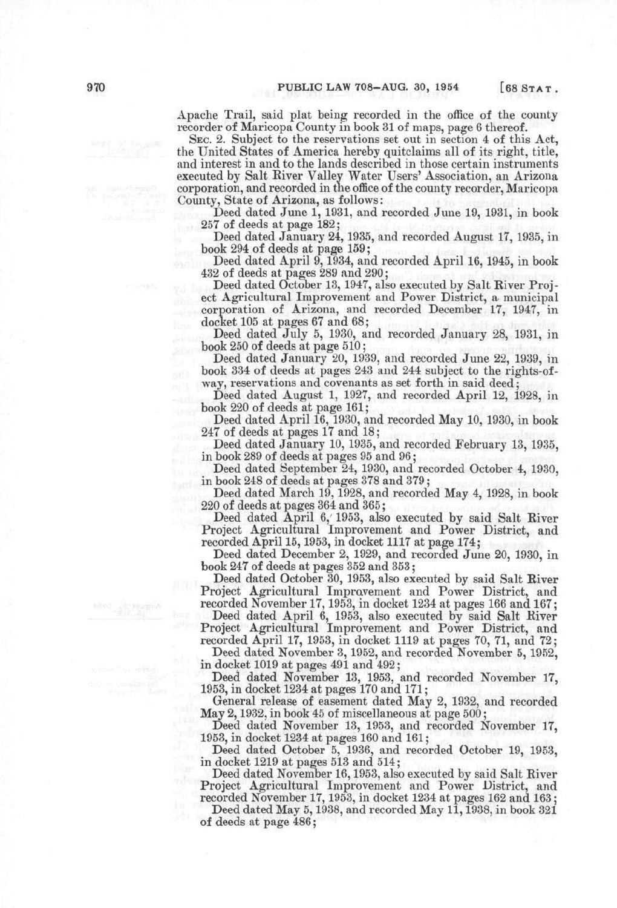Apache Trail, said plat being recorded in the office of the county recorder of Maricopa County in book 31 of maps, page 6 thereof.

SEC. 2. Subject to the reservations set out in section 4 of this Act, the United States of America hereby quitclaims all of its right, title, and interest in and to the lands described in those certain instruments executed by Salt River Valley Water Users' Association, an Arizona corporation, and recorded in the office of the county recorder, Maricopa County, State of Arizona, as follows:

Deed dated June 1, 1931, and recorded June 19, 1931, in book 257 of deeds at page 182;

Deed dated January 24,1935, and recorded August 17, 1935, in book 294 of deeds at page 159;

Deed dated April 9, 1934, and recorded April 16, 1945, in book 432 of deeds at pages 289 and 290;

Deed dated October 13, 1947, also executed by Salt River Project Agricultural Improvement and Power District, a municipal corporation of Arizona, and recorded December 17, 1947, in docket 105 at pages 67 and 68;

Deed dated July 5, 1930, and recorded January 28, 1931, in book 250 of deeds at page 510;

Deed dated January 20, 1939, and recorded June 22, 1939, in book 334 of deeds at pages 243 and 244 subject to the rights-ofway, reservations and covenants as set forth in said deed;

Deed dated August 1, 1927, and recorded April 12, 1928, in book 220 of deeds at page 161;

Deed dated April 16, 1930, and recorded May 10, 1930, in book 247 of deeds at pages 17 and 18;

Deed dated January 10, 1935, and recorded February 13, 1935, in book 289 of deeds at pages 95 and 96;

Deed dated September 24, 1930, and recorded October 4, 1930, in book 248 of deeds at pages 378 and 379;

Deed dated March 19, 1928, and recorded May 4, 1928, in book 220 of deeds at pages 364 and 365;

Deed dated April 6,' 1953, also executed by said Salt River Project Agricultural Improvement and Power District, and recorded April 15,1953, in docket 1117 at page 174;

Deed dated December 2, 1929, and recorded June 20, 1930, in book 247 of deeds at pages 352 and 353;

Deed dated October 30, 1953, also executed by said Salt River Project Agricultural Impravement and Power District, and recorded November 17,1953, in docket 1234 at pages 166 and 167;

Deed dated April 6, 1953, also executed by said Salt River Project Agricultural Improvement and Power District, and recorded April 17, 1953, in docket 1119 at pages 70, 71, and 72;

Deed dated November 3, 1952, and recorded November 5, 1952, in docket 1019 at pages 491 and 492;

Deed dated November 13, 1953, and recorded November 17, 1953, in docket 1234 at pages 170 and 171;

General release of easement dated May 2, 1932, and recorded May 2,1932, in book 45 of miscellaneous at page 500;

Deed dated November 13, 1953, and recorded November 17, 1953, in docket 1234 at pages 160 and 161;

Deed dated October 5, 1936, and recorded October 19, 1953, in docket 1219 at pages 513 and 514;

Deed dated November 16,1953, also executed by said Salt River Project Agricultural Improvement and Power District, and recorded November 17,1953, in docket 1234 at pages 162 and 163;

Deed dated May 5, 1938, and recorded May 11, 1938, in book 321 of deeds at page 486;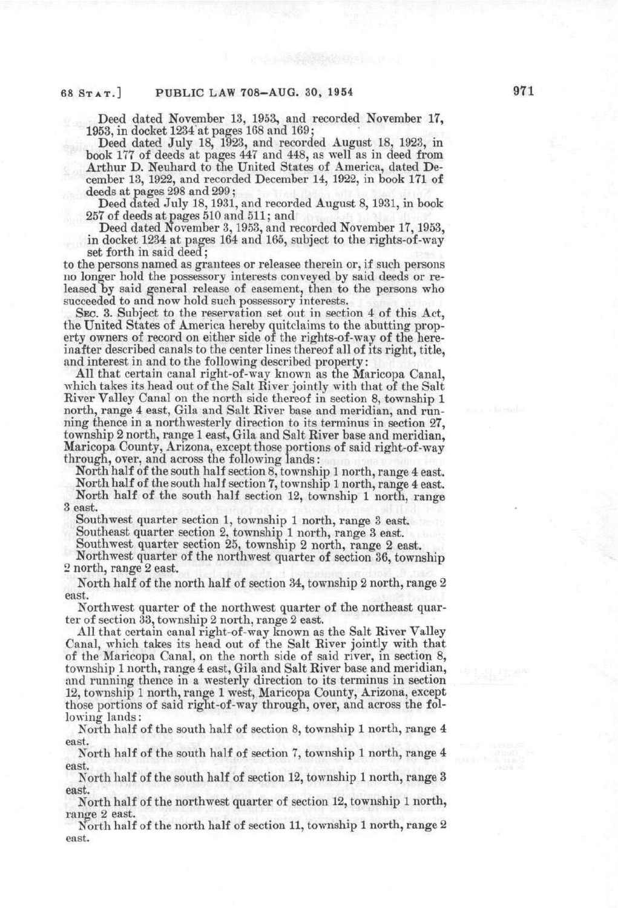Deed dated November 13, 1953, and recorded November 17, 1953, in docket 1234 at pages 168 and 169;

Deed dated July 18, 1923, and recorded August 18, 1923, in book 177 of deeds at pages 447 and 448, as well as in deed from Arthur D. Neuhard to the United States of America, dated December 13, 1922, and recorded December 14, 1922, in book 171 of deeds at pages 298 and 299;

Deed dated July 18,1931, and recorded August 8,1931, in book 257 of deeds at pages 510 and 511; and

Deed dated November 3,1953, and recorded November 17,1953, in docket 1234 at pages 164 and 165, subject to the rights-of-way set forth in said deed;

to the persons named as grantees or releasee therein or, if such persons no longer hold the possessory interests conveyed by said deeds or released by said general release of easement, then to the persons who succeeded to and now hold such possessory interests.

SEC. 3. Subject to the reservation set out in section 4 of this Act, the United States of America hereby quitclaims to the abutting property owners of record on either side of the rights-of-way of the hereinafter described canals to the center lines thereof all of its right, title, and interest in and to the following described property:

All that certain canal right-of-way known as the Maricopa Canal, which takes its head out of the Salt River jointly with that of the Salt River Valley Canal on the north side thereof in section 8, township 1 north, range 4 east, Gila and Salt River base and meridian, and running thence in a northwesterly direction to its terminus in section 27, township 2 north, range 1 east, Gila and Salt River base and meridian, Maricopa County, Arizona, except those portions of said right-of-way through, over, and across the following lands:

North half of the south half section 8, township 1 north, range 4 east. North half of the south half section 7, township 1 north, range 4 east. North half of the south half section 12, township 1 north, range 3 east.

Southwest quarter section 1, township 1 north, range 3 east.

Southeast quarter section 2, township 1 north, range 3 east.

Southwest quarter section 25, township 2 north, range 2 east.

Northwest quarter of the northwest quarter of section 36, township 2 north, range 2 east.

North half of the north half of section 34, township 2 north, range 2 east.

Northwest quarter of the northwest quarter of the northeast quarter of section 33, township 2 north, range 2 east.

All that certain canal right-of-way known as the Salt River Valley Canal, which takes its head out of the Salt River jointly with that of the Maricopa Canal, on the north side of said river, in section 8, township 1 north, range 4 east, Gila and Salt River base and meridian, and running thence in a westerly direction to its terminus in section 12, township 1 north, range 1 west, Maricopa County, Arizona, except those portions of said right-of-way through, over, and across the following lands:

North half of the south half of section 8, township 1 north, range 4 east.

North half of the south half of section 7, township 1 north, range 4 east. ,'.-(\*.-

North half of the south half of section 12, township 1 north, range 3 east.

North half of the northwest quarter of section 12, township 1 north, range 2 east.

North half of the north half of section 11, township 1 north, range 2 east.